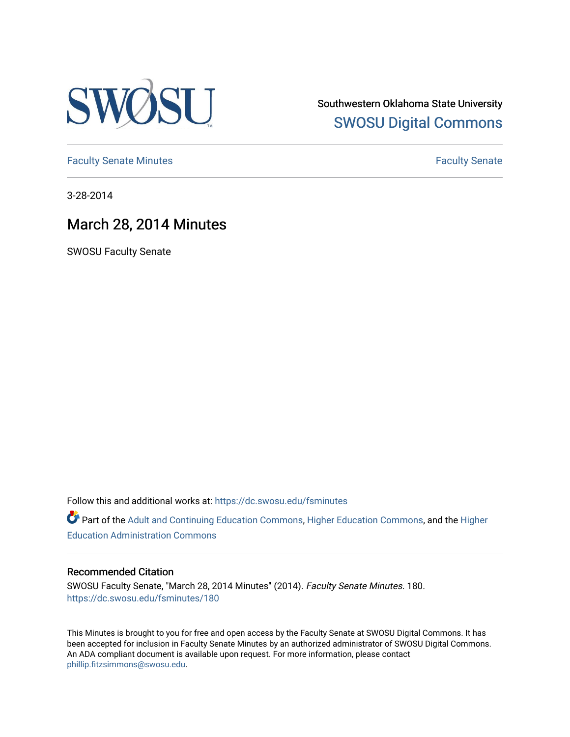

Southwestern Oklahoma State University [SWOSU Digital Commons](https://dc.swosu.edu/) 

[Faculty Senate Minutes](https://dc.swosu.edu/fsminutes) **Faculty** Senate Minutes

3-28-2014

## March 28, 2014 Minutes

SWOSU Faculty Senate

Follow this and additional works at: [https://dc.swosu.edu/fsminutes](https://dc.swosu.edu/fsminutes?utm_source=dc.swosu.edu%2Ffsminutes%2F180&utm_medium=PDF&utm_campaign=PDFCoverPages) 

Part of the [Adult and Continuing Education Commons,](http://network.bepress.com/hgg/discipline/1375?utm_source=dc.swosu.edu%2Ffsminutes%2F180&utm_medium=PDF&utm_campaign=PDFCoverPages) [Higher Education Commons,](http://network.bepress.com/hgg/discipline/1245?utm_source=dc.swosu.edu%2Ffsminutes%2F180&utm_medium=PDF&utm_campaign=PDFCoverPages) and the [Higher](http://network.bepress.com/hgg/discipline/791?utm_source=dc.swosu.edu%2Ffsminutes%2F180&utm_medium=PDF&utm_campaign=PDFCoverPages) [Education Administration Commons](http://network.bepress.com/hgg/discipline/791?utm_source=dc.swosu.edu%2Ffsminutes%2F180&utm_medium=PDF&utm_campaign=PDFCoverPages) 

#### Recommended Citation

SWOSU Faculty Senate, "March 28, 2014 Minutes" (2014). Faculty Senate Minutes. 180. [https://dc.swosu.edu/fsminutes/180](https://dc.swosu.edu/fsminutes/180?utm_source=dc.swosu.edu%2Ffsminutes%2F180&utm_medium=PDF&utm_campaign=PDFCoverPages) 

This Minutes is brought to you for free and open access by the Faculty Senate at SWOSU Digital Commons. It has been accepted for inclusion in Faculty Senate Minutes by an authorized administrator of SWOSU Digital Commons. An ADA compliant document is available upon request. For more information, please contact [phillip.fitzsimmons@swosu.edu](mailto:phillip.fitzsimmons@swosu.edu).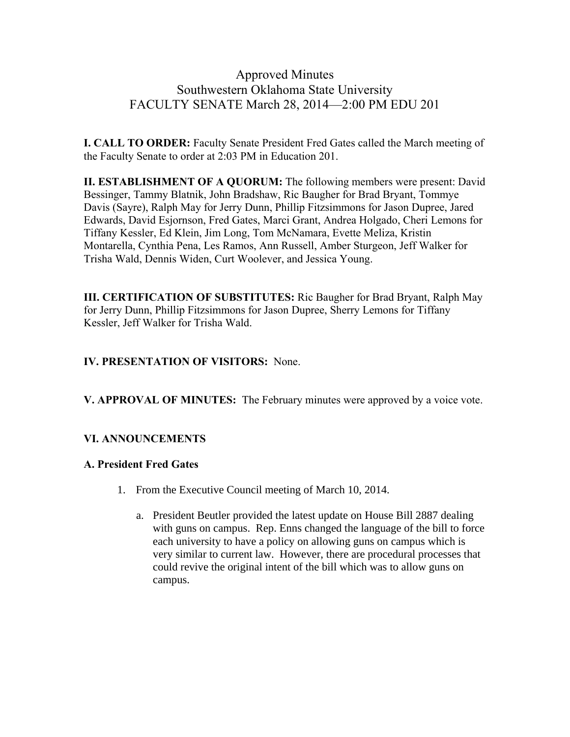## Approved Minutes Southwestern Oklahoma State University FACULTY SENATE March 28, 2014—2:00 PM EDU 201

**I. CALL TO ORDER:** Faculty Senate President Fred Gates called the March meeting of the Faculty Senate to order at 2:03 PM in Education 201.

**II. ESTABLISHMENT OF A QUORUM:** The following members were present: David Bessinger, Tammy Blatnik, John Bradshaw, Ric Baugher for Brad Bryant, Tommye Davis (Sayre), Ralph May for Jerry Dunn, Phillip Fitzsimmons for Jason Dupree, Jared Edwards, David Esjornson, Fred Gates, Marci Grant, Andrea Holgado, Cheri Lemons for Tiffany Kessler, Ed Klein, Jim Long, Tom McNamara, Evette Meliza, Kristin Montarella, Cynthia Pena, Les Ramos, Ann Russell, Amber Sturgeon, Jeff Walker for Trisha Wald, Dennis Widen, Curt Woolever, and Jessica Young.

**III. CERTIFICATION OF SUBSTITUTES:** Ric Baugher for Brad Bryant, Ralph May for Jerry Dunn, Phillip Fitzsimmons for Jason Dupree, Sherry Lemons for Tiffany Kessler, Jeff Walker for Trisha Wald.

## **IV. PRESENTATION OF VISITORS:** None.

**V. APPROVAL OF MINUTES:** The February minutes were approved by a voice vote.

## **VI. ANNOUNCEMENTS**

## **A. President Fred Gates**

- 1. From the Executive Council meeting of March 10, 2014.
	- a. President Beutler provided the latest update on House Bill 2887 dealing with guns on campus. Rep. Enns changed the language of the bill to force each university to have a policy on allowing guns on campus which is very similar to current law. However, there are procedural processes that could revive the original intent of the bill which was to allow guns on campus.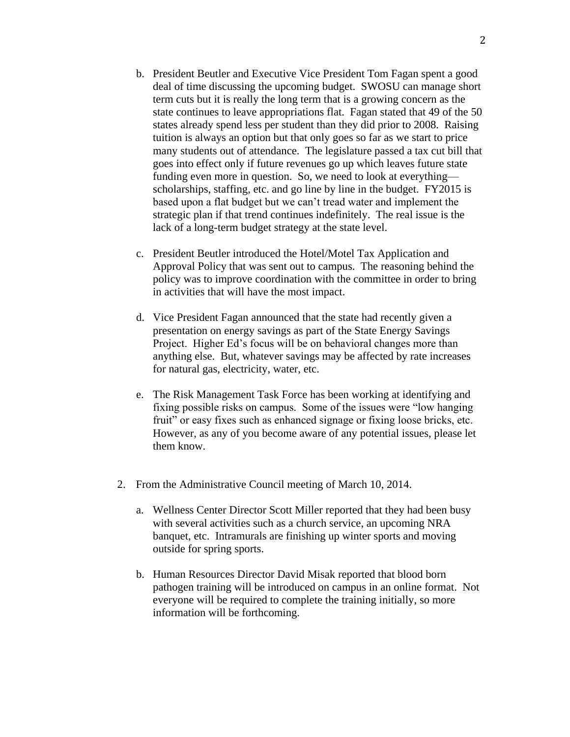- b. President Beutler and Executive Vice President Tom Fagan spent a good deal of time discussing the upcoming budget. SWOSU can manage short term cuts but it is really the long term that is a growing concern as the state continues to leave appropriations flat. Fagan stated that 49 of the 50 states already spend less per student than they did prior to 2008. Raising tuition is always an option but that only goes so far as we start to price many students out of attendance. The legislature passed a tax cut bill that goes into effect only if future revenues go up which leaves future state funding even more in question. So, we need to look at everything scholarships, staffing, etc. and go line by line in the budget. FY2015 is based upon a flat budget but we can't tread water and implement the strategic plan if that trend continues indefinitely. The real issue is the lack of a long-term budget strategy at the state level.
- c. President Beutler introduced the Hotel/Motel Tax Application and Approval Policy that was sent out to campus. The reasoning behind the policy was to improve coordination with the committee in order to bring in activities that will have the most impact.
- d. Vice President Fagan announced that the state had recently given a presentation on energy savings as part of the State Energy Savings Project. Higher Ed's focus will be on behavioral changes more than anything else. But, whatever savings may be affected by rate increases for natural gas, electricity, water, etc.
- e. The Risk Management Task Force has been working at identifying and fixing possible risks on campus. Some of the issues were "low hanging fruit" or easy fixes such as enhanced signage or fixing loose bricks, etc. However, as any of you become aware of any potential issues, please let them know.
- 2. From the Administrative Council meeting of March 10, 2014.
	- a. Wellness Center Director Scott Miller reported that they had been busy with several activities such as a church service, an upcoming NRA banquet, etc. Intramurals are finishing up winter sports and moving outside for spring sports.
	- b. Human Resources Director David Misak reported that blood born pathogen training will be introduced on campus in an online format. Not everyone will be required to complete the training initially, so more information will be forthcoming.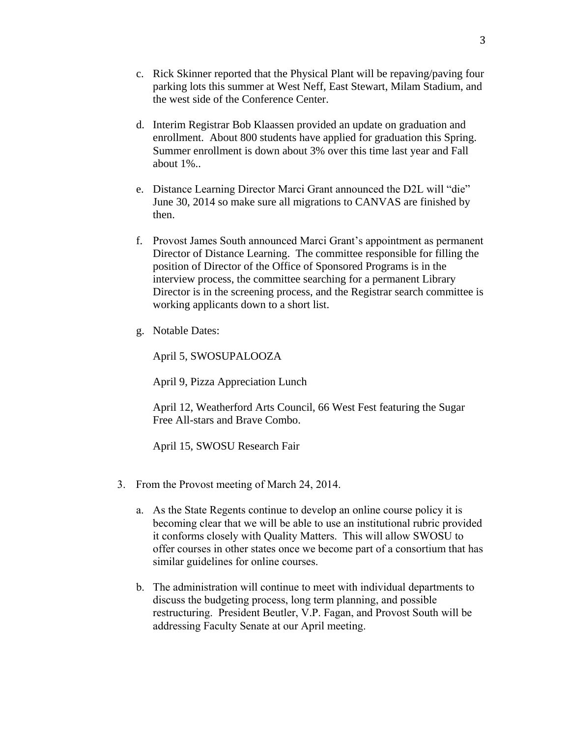- c. Rick Skinner reported that the Physical Plant will be repaving/paving four parking lots this summer at West Neff, East Stewart, Milam Stadium, and the west side of the Conference Center.
- d. Interim Registrar Bob Klaassen provided an update on graduation and enrollment. About 800 students have applied for graduation this Spring. Summer enrollment is down about 3% over this time last year and Fall about 1%..
- e. Distance Learning Director Marci Grant announced the D2L will "die" June 30, 2014 so make sure all migrations to CANVAS are finished by then.
- f. Provost James South announced Marci Grant's appointment as permanent Director of Distance Learning. The committee responsible for filling the position of Director of the Office of Sponsored Programs is in the interview process, the committee searching for a permanent Library Director is in the screening process, and the Registrar search committee is working applicants down to a short list.
- g. Notable Dates:

April 5, SWOSUPALOOZA

April 9, Pizza Appreciation Lunch

April 12, Weatherford Arts Council, 66 West Fest featuring the Sugar Free All-stars and Brave Combo.

April 15, SWOSU Research Fair

- 3. From the Provost meeting of March 24, 2014.
	- a. As the State Regents continue to develop an online course policy it is becoming clear that we will be able to use an institutional rubric provided it conforms closely with Quality Matters. This will allow SWOSU to offer courses in other states once we become part of a consortium that has similar guidelines for online courses.
	- b. The administration will continue to meet with individual departments to discuss the budgeting process, long term planning, and possible restructuring. President Beutler, V.P. Fagan, and Provost South will be addressing Faculty Senate at our April meeting.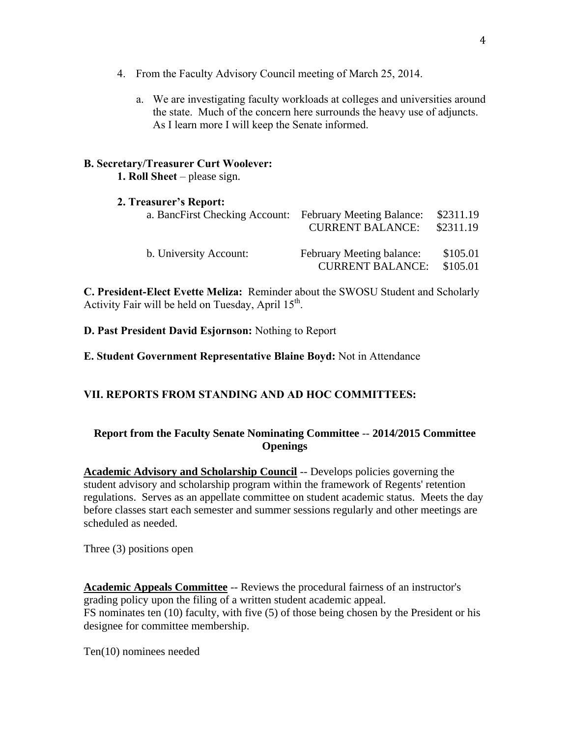- 4. From the Faculty Advisory Council meeting of March 25, 2014.
	- a. We are investigating faculty workloads at colleges and universities around the state. Much of the concern here surrounds the heavy use of adjuncts. As I learn more I will keep the Senate informed.

#### **B. Secretary/Treasurer Curt Woolever:**

**1. Roll Sheet** – please sign.

#### **2. Treasurer's Report:**

| a. BancFirst Checking Account: February Meeting Balance: | <b>CURRENT BALANCE:</b>                              | \$2311.19<br>\$2311.19 |
|----------------------------------------------------------|------------------------------------------------------|------------------------|
| b. University Account:                                   | February Meeting balance:<br><b>CURRENT BALANCE:</b> | \$105.01<br>\$105.01   |

**C. President-Elect Evette Meliza:** Reminder about the SWOSU Student and Scholarly Activity Fair will be held on Tuesday, April  $15<sup>th</sup>$ .

**D. Past President David Esjornson:** Nothing to Report

**E. Student Government Representative Blaine Boyd:** Not in Attendance

## **VII. REPORTS FROM STANDING AND AD HOC COMMITTEES:**

#### **Report from the Faculty Senate Nominating Committee** -- **2014/2015 Committee Openings**

**Academic Advisory and Scholarship Council** -- Develops policies governing the student advisory and scholarship program within the framework of Regents' retention regulations. Serves as an appellate committee on student academic status. Meets the day before classes start each semester and summer sessions regularly and other meetings are scheduled as needed.

Three (3) positions open

**Academic Appeals Committee** -- Reviews the procedural fairness of an instructor's grading policy upon the filing of a written student academic appeal. FS nominates ten (10) faculty, with five (5) of those being chosen by the President or his designee for committee membership.

Ten(10) nominees needed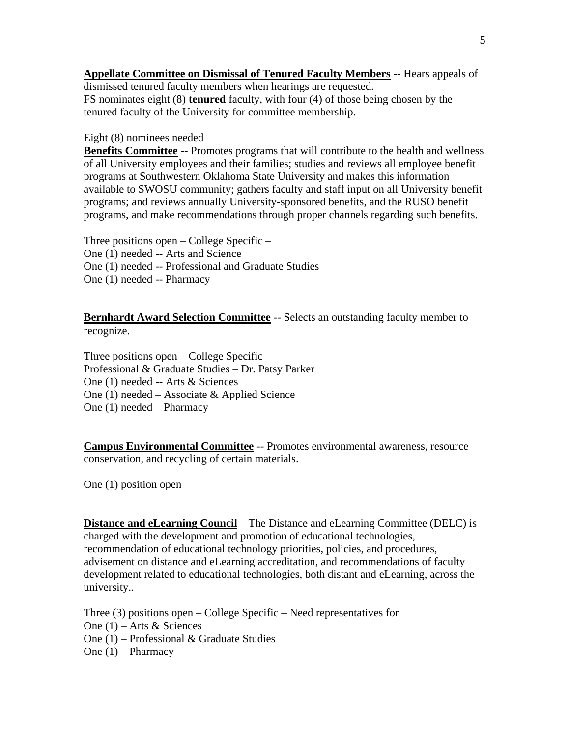**Appellate Committee on Dismissal of Tenured Faculty Members** -- Hears appeals of dismissed tenured faculty members when hearings are requested. FS nominates eight (8) **tenured** faculty, with four (4) of those being chosen by the tenured faculty of the University for committee membership.

#### Eight (8) nominees needed

**Benefits Committee** -- Promotes programs that will contribute to the health and wellness of all University employees and their families; studies and reviews all employee benefit programs at Southwestern Oklahoma State University and makes this information available to SWOSU community; gathers faculty and staff input on all University benefit programs; and reviews annually University-sponsored benefits, and the RUSO benefit programs, and make recommendations through proper channels regarding such benefits.

Three positions open – College Specific – One (1) needed -- Arts and Science One (1) needed -- Professional and Graduate Studies One (1) needed -- Pharmacy

**Bernhardt Award Selection Committee** -- Selects an outstanding faculty member to recognize.

Three positions open – College Specific – Professional & Graduate Studies – Dr. Patsy Parker One (1) needed -- Arts & Sciences One (1) needed – Associate & Applied Science One (1) needed – Pharmacy

**Campus Environmental Committee** -- Promotes environmental awareness, resource conservation, and recycling of certain materials.

One (1) position open

**Distance and eLearning Council** – The Distance and eLearning Committee (DELC) is charged with the development and promotion of educational technologies, recommendation of educational technology priorities, policies, and procedures, advisement on distance and eLearning accreditation, and recommendations of faculty development related to educational technologies, both distant and eLearning, across the university..

Three (3) positions open – College Specific – Need representatives for One (1) – Arts & Sciences One (1) – Professional & Graduate Studies One (1) – Pharmacy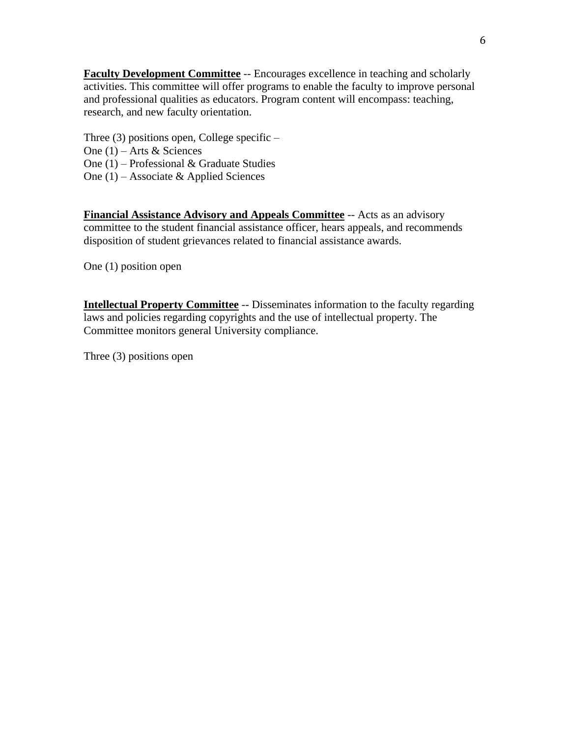**Faculty Development Committee** -- Encourages excellence in teaching and scholarly activities. This committee will offer programs to enable the faculty to improve personal and professional qualities as educators. Program content will encompass: teaching, research, and new faculty orientation.

Three  $(3)$  positions open, College specific –

One (1) – Arts & Sciences

One (1) – Professional & Graduate Studies

One (1) – Associate & Applied Sciences

**Financial Assistance Advisory and Appeals Committee** -- Acts as an advisory committee to the student financial assistance officer, hears appeals, and recommends disposition of student grievances related to financial assistance awards.

One (1) position open

**Intellectual Property Committee** -- Disseminates information to the faculty regarding laws and policies regarding copyrights and the use of intellectual property. The Committee monitors general University compliance.

Three (3) positions open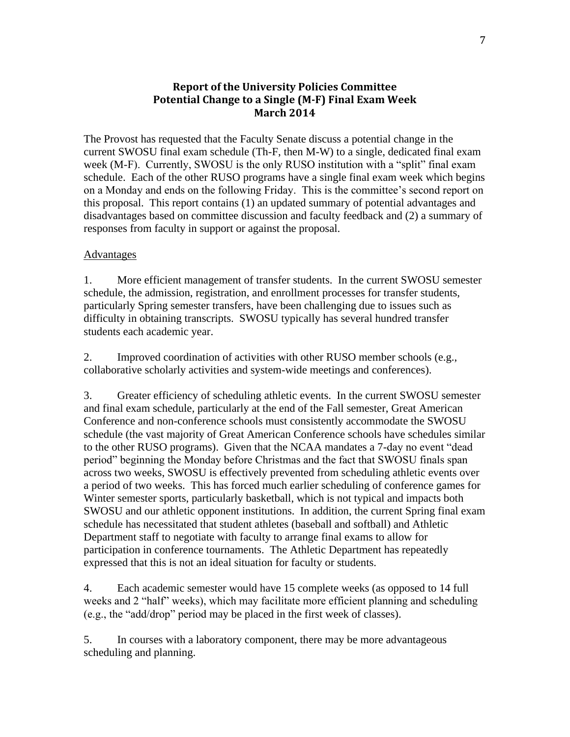#### **Report of the University Policies Committee Potential Change to a Single (M-F) Final Exam Week March 2014**

The Provost has requested that the Faculty Senate discuss a potential change in the current SWOSU final exam schedule (Th-F, then M-W) to a single, dedicated final exam week (M-F). Currently, SWOSU is the only RUSO institution with a "split" final exam schedule. Each of the other RUSO programs have a single final exam week which begins on a Monday and ends on the following Friday. This is the committee's second report on this proposal. This report contains (1) an updated summary of potential advantages and disadvantages based on committee discussion and faculty feedback and (2) a summary of responses from faculty in support or against the proposal.

#### Advantages

1. More efficient management of transfer students. In the current SWOSU semester schedule, the admission, registration, and enrollment processes for transfer students, particularly Spring semester transfers, have been challenging due to issues such as difficulty in obtaining transcripts. SWOSU typically has several hundred transfer students each academic year.

2. Improved coordination of activities with other RUSO member schools (e.g., collaborative scholarly activities and system-wide meetings and conferences).

3. Greater efficiency of scheduling athletic events. In the current SWOSU semester and final exam schedule, particularly at the end of the Fall semester, Great American Conference and non-conference schools must consistently accommodate the SWOSU schedule (the vast majority of Great American Conference schools have schedules similar to the other RUSO programs). Given that the NCAA mandates a 7-day no event "dead period" beginning the Monday before Christmas and the fact that SWOSU finals span across two weeks, SWOSU is effectively prevented from scheduling athletic events over a period of two weeks. This has forced much earlier scheduling of conference games for Winter semester sports, particularly basketball, which is not typical and impacts both SWOSU and our athletic opponent institutions. In addition, the current Spring final exam schedule has necessitated that student athletes (baseball and softball) and Athletic Department staff to negotiate with faculty to arrange final exams to allow for participation in conference tournaments. The Athletic Department has repeatedly expressed that this is not an ideal situation for faculty or students.

4. Each academic semester would have 15 complete weeks (as opposed to 14 full weeks and 2 "half" weeks), which may facilitate more efficient planning and scheduling (e.g., the "add/drop" period may be placed in the first week of classes).

5. In courses with a laboratory component, there may be more advantageous scheduling and planning.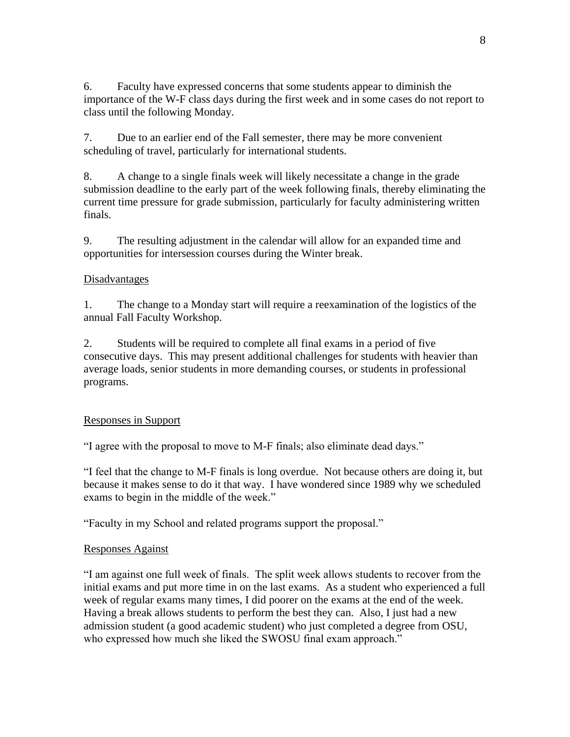6. Faculty have expressed concerns that some students appear to diminish the importance of the W-F class days during the first week and in some cases do not report to class until the following Monday.

7. Due to an earlier end of the Fall semester, there may be more convenient scheduling of travel, particularly for international students.

8. A change to a single finals week will likely necessitate a change in the grade submission deadline to the early part of the week following finals, thereby eliminating the current time pressure for grade submission, particularly for faculty administering written finals.

9. The resulting adjustment in the calendar will allow for an expanded time and opportunities for intersession courses during the Winter break.

#### Disadvantages

1. The change to a Monday start will require a reexamination of the logistics of the annual Fall Faculty Workshop.

2. Students will be required to complete all final exams in a period of five consecutive days. This may present additional challenges for students with heavier than average loads, senior students in more demanding courses, or students in professional programs.

## Responses in Support

"I agree with the proposal to move to M-F finals; also eliminate dead days."

"I feel that the change to M-F finals is long overdue. Not because others are doing it, but because it makes sense to do it that way. I have wondered since 1989 why we scheduled exams to begin in the middle of the week."

"Faculty in my School and related programs support the proposal."

#### Responses Against

"I am against one full week of finals. The split week allows students to recover from the initial exams and put more time in on the last exams. As a student who experienced a full week of regular exams many times, I did poorer on the exams at the end of the week. Having a break allows students to perform the best they can. Also, I just had a new admission student (a good academic student) who just completed a degree from OSU, who expressed how much she liked the SWOSU final exam approach."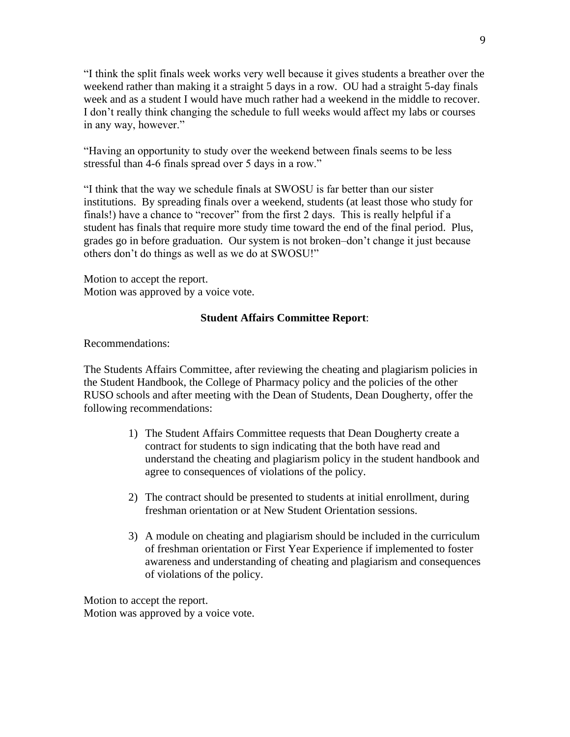"I think the split finals week works very well because it gives students a breather over the weekend rather than making it a straight 5 days in a row. OU had a straight 5-day finals week and as a student I would have much rather had a weekend in the middle to recover. I don't really think changing the schedule to full weeks would affect my labs or courses in any way, however."

"Having an opportunity to study over the weekend between finals seems to be less stressful than 4-6 finals spread over 5 days in a row."

"I think that the way we schedule finals at SWOSU is far better than our sister institutions. By spreading finals over a weekend, students (at least those who study for finals!) have a chance to "recover" from the first 2 days. This is really helpful if a student has finals that require more study time toward the end of the final period. Plus, grades go in before graduation. Our system is not broken–don't change it just because others don't do things as well as we do at SWOSU!"

Motion to accept the report. Motion was approved by a voice vote.

#### **Student Affairs Committee Report**:

Recommendations:

The Students Affairs Committee, after reviewing the cheating and plagiarism policies in the Student Handbook, the College of Pharmacy policy and the policies of the other RUSO schools and after meeting with the Dean of Students, Dean Dougherty, offer the following recommendations:

- 1) The Student Affairs Committee requests that Dean Dougherty create a contract for students to sign indicating that the both have read and understand the cheating and plagiarism policy in the student handbook and agree to consequences of violations of the policy.
- 2) The contract should be presented to students at initial enrollment, during freshman orientation or at New Student Orientation sessions.
- 3) A module on cheating and plagiarism should be included in the curriculum of freshman orientation or First Year Experience if implemented to foster awareness and understanding of cheating and plagiarism and consequences of violations of the policy.

Motion to accept the report. Motion was approved by a voice vote.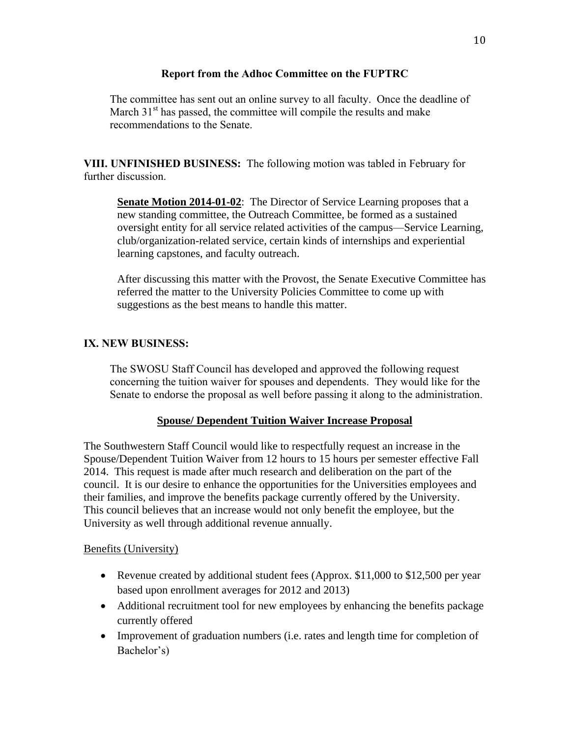#### **Report from the Adhoc Committee on the FUPTRC**

The committee has sent out an online survey to all faculty. Once the deadline of March  $31<sup>st</sup>$  has passed, the committee will compile the results and make recommendations to the Senate.

**VIII. UNFINISHED BUSINESS:** The following motion was tabled in February for further discussion.

**Senate Motion 2014-01-02**: The Director of Service Learning proposes that a new standing committee, the Outreach Committee, be formed as a sustained oversight entity for all service related activities of the campus—Service Learning, club/organization-related service, certain kinds of internships and experiential learning capstones, and faculty outreach.

After discussing this matter with the Provost, the Senate Executive Committee has referred the matter to the University Policies Committee to come up with suggestions as the best means to handle this matter.

## **IX. NEW BUSINESS:**

The SWOSU Staff Council has developed and approved the following request concerning the tuition waiver for spouses and dependents. They would like for the Senate to endorse the proposal as well before passing it along to the administration.

#### **Spouse/ Dependent Tuition Waiver Increase Proposal**

The Southwestern Staff Council would like to respectfully request an increase in the Spouse/Dependent Tuition Waiver from 12 hours to 15 hours per semester effective Fall 2014. This request is made after much research and deliberation on the part of the council. It is our desire to enhance the opportunities for the Universities employees and their families, and improve the benefits package currently offered by the University. This council believes that an increase would not only benefit the employee, but the University as well through additional revenue annually.

#### Benefits (University)

- Revenue created by additional student fees (Approx. \$11,000 to \$12,500 per year based upon enrollment averages for 2012 and 2013)
- Additional recruitment tool for new employees by enhancing the benefits package currently offered
- Improvement of graduation numbers (i.e. rates and length time for completion of Bachelor's)